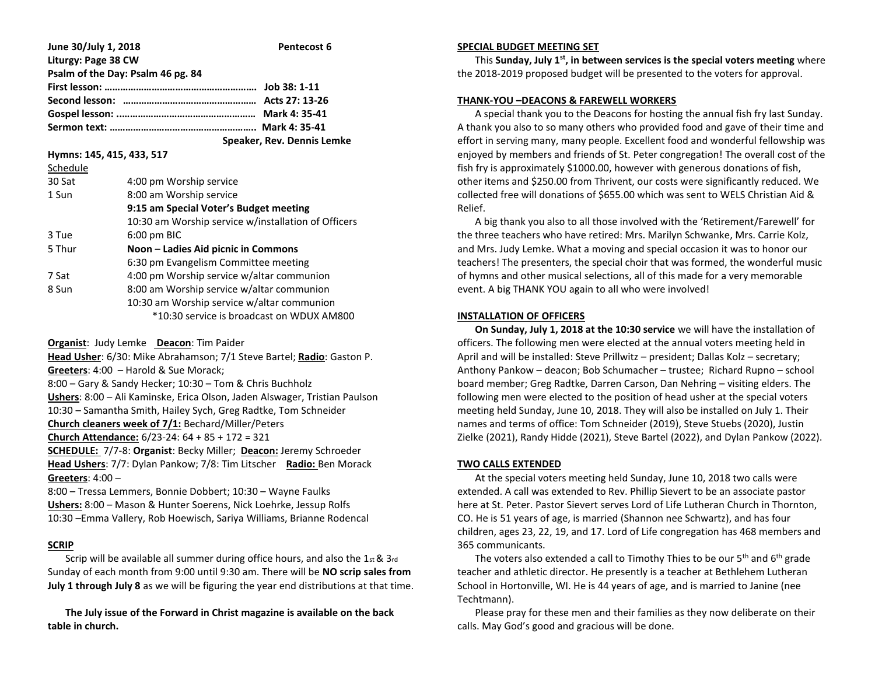| June 30/July 1, 2018              | Pentecost 6                |
|-----------------------------------|----------------------------|
| Liturgy: Page 38 CW               |                            |
| Psalm of the Day: Psalm 46 pg. 84 |                            |
|                                   |                            |
|                                   |                            |
|                                   |                            |
|                                   |                            |
|                                   | Speaker, Rev. Dennis Lemke |

**Hymns: 145, 415, 433, 517**

| Schedule |                                                     |  |
|----------|-----------------------------------------------------|--|
| 30 Sat   | 4:00 pm Worship service                             |  |
| 1 Sun    | 8:00 am Worship service                             |  |
|          | 9:15 am Special Voter's Budget meeting              |  |
|          | 10:30 am Worship service w/installation of Officers |  |
| 3 Tue    | $6:00$ pm BIC                                       |  |
| 5 Thur   | Noon – Ladies Aid picnic in Commons                 |  |
|          | 6:30 pm Evangelism Committee meeting                |  |
| 7 Sat    | 4:00 pm Worship service w/altar communion           |  |
| 8 Sun    | 8:00 am Worship service w/altar communion           |  |
|          | 10:30 am Worship service w/altar communion          |  |
|          | *10:30 service is broadcast on WDUX AM800           |  |
|          |                                                     |  |

**Organist**: Judy Lemke **Deacon**: Tim Paider

**Head Usher**: 6/30: Mike Abrahamson; 7/1 Steve Bartel; **Radio**: Gaston P. **Greeters**: 4:00 – Harold & Sue Morack;

8:00 – Gary & Sandy Hecker; 10:30 – Tom & Chris Buchholz **Ushers**: 8:00 – Ali Kaminske, Erica Olson, Jaden Alswager, Tristian Paulson 10:30 – Samantha Smith, Hailey Sych, Greg Radtke, Tom Schneider **Church cleaners week of 7/1:** Bechard/Miller/Peters

**Church Attendance:** 6/23-24: 64 + 85 + 172 = 321

**SCHEDULE:** 7/7-8: **Organist**: Becky Miller; **Deacon:** Jeremy Schroeder **Head Ushers**: 7/7: Dylan Pankow; 7/8: Tim Litscher **Radio:** Ben Morack **Greeters**: 4:00 –

8:00 – Tressa Lemmers, Bonnie Dobbert; 10:30 – Wayne Faulks **Ushers:** 8:00 – Mason & Hunter Soerens, Nick Loehrke, Jessup Rolfs 10:30 –Emma Vallery, Rob Hoewisch, Sariya Williams, Brianne Rodencal

# **SCRIP**

 Scrip will be available all summer during office hours, and also the 1st & 3rd Sunday of each month from 9:00 until 9:30 am. There will be **NO scrip sales from July 1 through July 8** as we will be figuring the year end distributions at that time.

 **The July issue of the Forward in Christ magazine is available on the back table in church.**

### **SPECIAL BUDGET MEETING SET**

 This **Sunday, July 1st, in between services is the special voters meeting** where the 2018-2019 proposed budget will be presented to the voters for approval.

### **THANK-YOU –DEACONS & FAREWELL WORKERS**

 A special thank you to the Deacons for hosting the annual fish fry last Sunday. A thank you also to so many others who provided food and gave of their time and effort in serving many, many people. Excellent food and wonderful fellowship was enjoyed by members and friends of St. Peter congregation! The overall cost of the fish fry is approximately \$1000.00, however with generous donations of fish, other items and \$250.00 from Thrivent, our costs were significantly reduced. We collected free will donations of \$655.00 which was sent to WELS Christian Aid & Relief.

 A big thank you also to all those involved with the 'Retirement/Farewell' for the three teachers who have retired: Mrs. Marilyn Schwanke, Mrs. Carrie Kolz, and Mrs. Judy Lemke. What a moving and special occasion it was to honor our teachers! The presenters, the special choir that was formed, the wonderful music of hymns and other musical selections, all of this made for a very memorable event. A big THANK YOU again to all who were involved!

### **INSTALLATION OF OFFICERS**

 **On Sunday, July 1, 2018 at the 10:30 service** we will have the installation of officers. The following men were elected at the annual voters meeting held in April and will be installed: Steve Prillwitz – president; Dallas Kolz – secretary; Anthony Pankow – deacon; Bob Schumacher – trustee; Richard Rupno – school board member; Greg Radtke, Darren Carson, Dan Nehring – visiting elders. The following men were elected to the position of head usher at the special voters meeting held Sunday, June 10, 2018. They will also be installed on July 1. Their names and terms of office: Tom Schneider (2019), Steve Stuebs (2020), Justin Zielke (2021), Randy Hidde (2021), Steve Bartel (2022), and Dylan Pankow (2022).

### **TWO CALLS EXTENDED**

 At the special voters meeting held Sunday, June 10, 2018 two calls were extended. A call was extended to Rev. Phillip Sievert to be an associate pastor here at St. Peter. Pastor Sievert serves Lord of Life Lutheran Church in Thornton, CO. He is 51 years of age, is married (Shannon nee Schwartz), and has four children, ages 23, 22, 19, and 17. Lord of Life congregation has 468 members and 365 communicants.

The voters also extended a call to Timothy Thies to be our  $5<sup>th</sup>$  and  $6<sup>th</sup>$  grade teacher and athletic director. He presently is a teacher at Bethlehem Lutheran School in Hortonville, WI. He is 44 years of age, and is married to Janine (nee Techtmann).

 Please pray for these men and their families as they now deliberate on their calls. May God's good and gracious will be done.